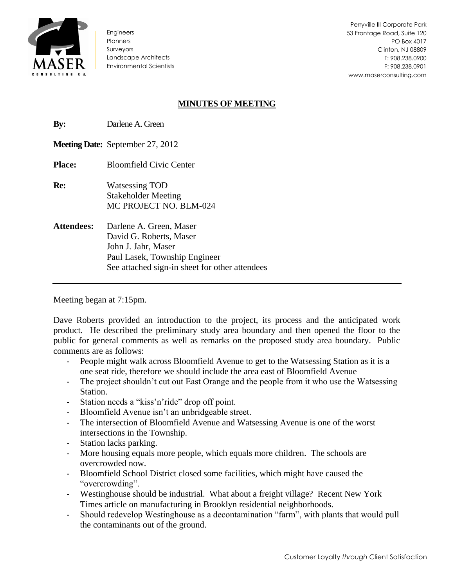

Engineers **Planners** Surveyors Landscape Architects Environmental Scientists

Perryville III Corporate Park 53 Frontage Road, Suite 120 PO Box 4017 Clinton, NJ 08809 T: 908.238.0900 F: 908.238.0901 www.maserconsulting.com

## **MINUTES OF MEETING**

**By:** Darlene A. Green

**Meeting Date:** September 27, 2012

**Place:** Bloomfield Civic Center

- **Re:** Watsessing TOD Stakeholder Meeting MC PROJECT NO. BLM-024
- **Attendees:** Darlene A. Green, Maser David G. Roberts, Maser John J. Jahr, Maser Paul Lasek, Township Engineer See attached sign-in sheet for other attendees

Meeting began at 7:15pm.

Dave Roberts provided an introduction to the project, its process and the anticipated work product. He described the preliminary study area boundary and then opened the floor to the public for general comments as well as remarks on the proposed study area boundary. Public comments are as follows:

- People might walk across Bloomfield Avenue to get to the Watsessing Station as it is a one seat ride, therefore we should include the area east of Bloomfield Avenue
- The project shouldn't cut out East Orange and the people from it who use the Watsessing Station.
- Station needs a "kiss'n'ride" drop off point.
- Bloomfield Avenue isn't an unbridgeable street.
- The intersection of Bloomfield Avenue and Watsessing Avenue is one of the worst intersections in the Township.
- Station lacks parking.
- More housing equals more people, which equals more children. The schools are overcrowded now.
- Bloomfield School District closed some facilities, which might have caused the "overcrowding".
- Westinghouse should be industrial. What about a freight village? Recent New York Times article on manufacturing in Brooklyn residential neighborhoods.
- Should redevelop Westinghouse as a decontamination "farm", with plants that would pull the contaminants out of the ground.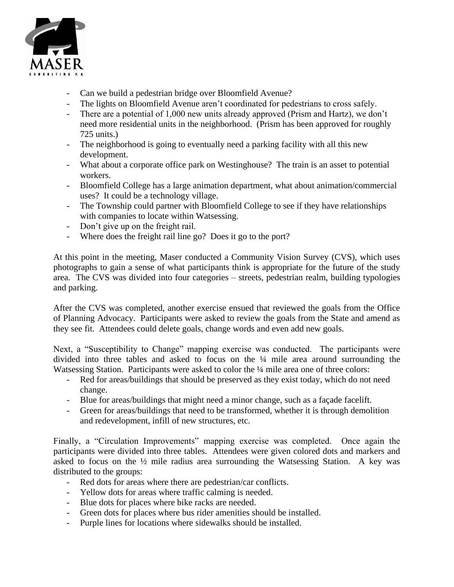

- Can we build a pedestrian bridge over Bloomfield Avenue?
- The lights on Bloomfield Avenue aren't coordinated for pedestrians to cross safely.
- There are a potential of 1,000 new units already approved (Prism and Hartz), we don't need more residential units in the neighborhood. (Prism has been approved for roughly 725 units.)
- The neighborhood is going to eventually need a parking facility with all this new development.
- What about a corporate office park on Westinghouse? The train is an asset to potential workers.
- Bloomfield College has a large animation department, what about animation/commercial uses? It could be a technology village.
- The Township could partner with Bloomfield College to see if they have relationships with companies to locate within Watsessing.
- Don't give up on the freight rail.
- Where does the freight rail line go? Does it go to the port?

At this point in the meeting, Maser conducted a Community Vision Survey (CVS), which uses photographs to gain a sense of what participants think is appropriate for the future of the study area. The CVS was divided into four categories – streets, pedestrian realm, building typologies and parking.

After the CVS was completed, another exercise ensued that reviewed the goals from the Office of Planning Advocacy. Participants were asked to review the goals from the State and amend as they see fit. Attendees could delete goals, change words and even add new goals.

Next, a "Susceptibility to Change" mapping exercise was conducted. The participants were divided into three tables and asked to focus on the ¼ mile area around surrounding the Watsessing Station. Participants were asked to color the ¼ mile area one of three colors:

- Red for areas/buildings that should be preserved as they exist today, which do not need change.
- Blue for areas/buildings that might need a minor change, such as a façade facelift.
- Green for areas/buildings that need to be transformed, whether it is through demolition and redevelopment, infill of new structures, etc.

Finally, a "Circulation Improvements" mapping exercise was completed. Once again the participants were divided into three tables. Attendees were given colored dots and markers and asked to focus on the ½ mile radius area surrounding the Watsessing Station. A key was distributed to the groups:

- Red dots for areas where there are pedestrian/car conflicts.
- Yellow dots for areas where traffic calming is needed.
- Blue dots for places where bike racks are needed.
- Green dots for places where bus rider amenities should be installed.
- Purple lines for locations where sidewalks should be installed.